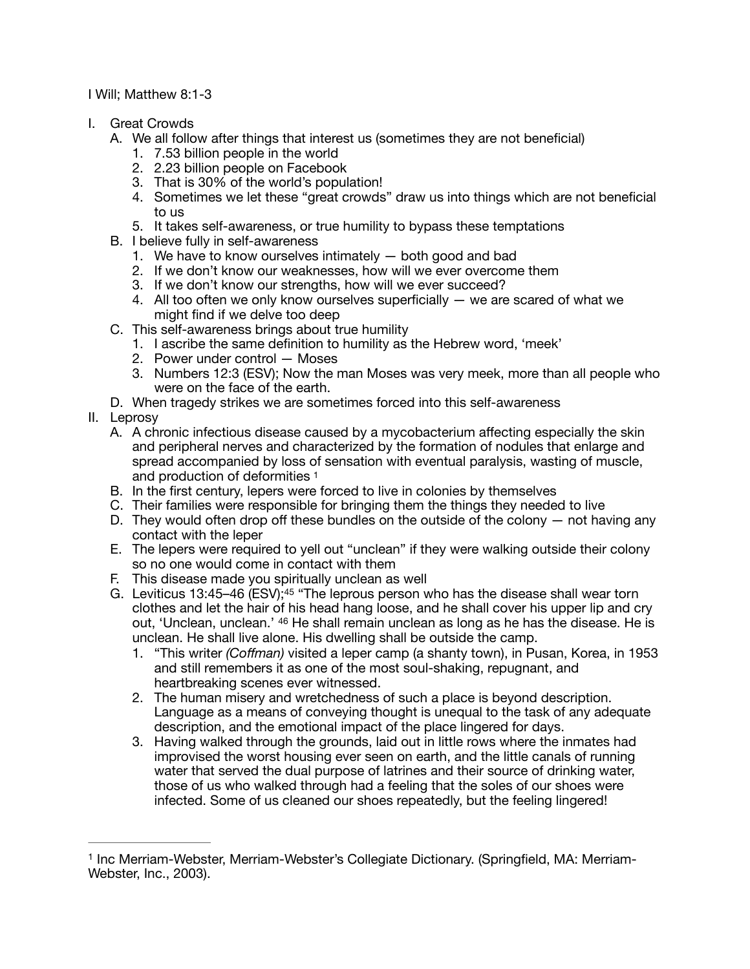I Will; Matthew 8:1-3

- I. Great Crowds
	- A. We all follow after things that interest us (sometimes they are not beneficial)
		- 1. 7.53 billion people in the world
		- 2. 2.23 billion people on Facebook
		- 3. That is 30% of the world's population!
		- 4. Sometimes we let these "great crowds" draw us into things which are not beneficial to us
		- 5. It takes self-awareness, or true humility to bypass these temptations
	- B. I believe fully in self-awareness
		- 1. We have to know ourselves intimately both good and bad
		- 2. If we don't know our weaknesses, how will we ever overcome them
		- 3. If we don't know our strengths, how will we ever succeed?
		- 4. All too often we only know ourselves superficially we are scared of what we might find if we delve too deep
	- C. This self-awareness brings about true humility
		- 1. I ascribe the same definition to humility as the Hebrew word, 'meek'
		- 2. Power under control Moses
		- 3. Numbers 12:3 (ESV); Now the man Moses was very meek, more than all people who were on the face of the earth.
	- D. When tragedy strikes we are sometimes forced into this self-awareness
- <span id="page-0-1"></span>II. Leprosy
	- A. A chronic infectious disease caused by a mycobacterium affecting especially the skin and peripheral nerves and characterized by the formation of nodules that enlarge and spread accompanied by loss of sensation with eventual paralysis, wasting of muscle, and production of deformities [1](#page-0-0)
	- B. In the first century, lepers were forced to live in colonies by themselves
	- C. Their families were responsible for bringing them the things they needed to live
	- D. They would often drop off these bundles on the outside of the colony  $-$  not having any contact with the leper
	- E. The lepers were required to yell out "unclean" if they were walking outside their colony so no one would come in contact with them
	- F. This disease made you spiritually unclean as well
	- G. Leviticus 13:45-46  $(ESV);^{45}$  "The leprous person who has the disease shall wear torn clothes and let the hair of his head hang loose, and he shall cover his upper lip and cry out, 'Unclean, unclean.' 46 He shall remain unclean as long as he has the disease. He is unclean. He shall live alone. His dwelling shall be outside the camp.
		- 1. "This writer *(Coffman)* visited a leper camp (a shanty town), in Pusan, Korea, in 1953 and still remembers it as one of the most soul-shaking, repugnant, and heartbreaking scenes ever witnessed.
		- 2. The human misery and wretchedness of such a place is beyond description. Language as a means of conveying thought is unequal to the task of any adequate description, and the emotional impact of the place lingered for days.
		- 3. Having walked through the grounds, laid out in little rows where the inmates had improvised the worst housing ever seen on earth, and the little canals of running water that served the dual purpose of latrines and their source of drinking water, those of us who walked through had a feeling that the soles of our shoes were infected. Some of us cleaned our shoes repeatedly, but the feeling lingered!

<span id="page-0-0"></span><sup>&</sup>lt;sup>[1](#page-0-1)</sup> Inc Merriam-Webster, Merriam-Webster's Collegiate Dictionary. (Springfield, MA: Merriam-Webster, Inc., 2003).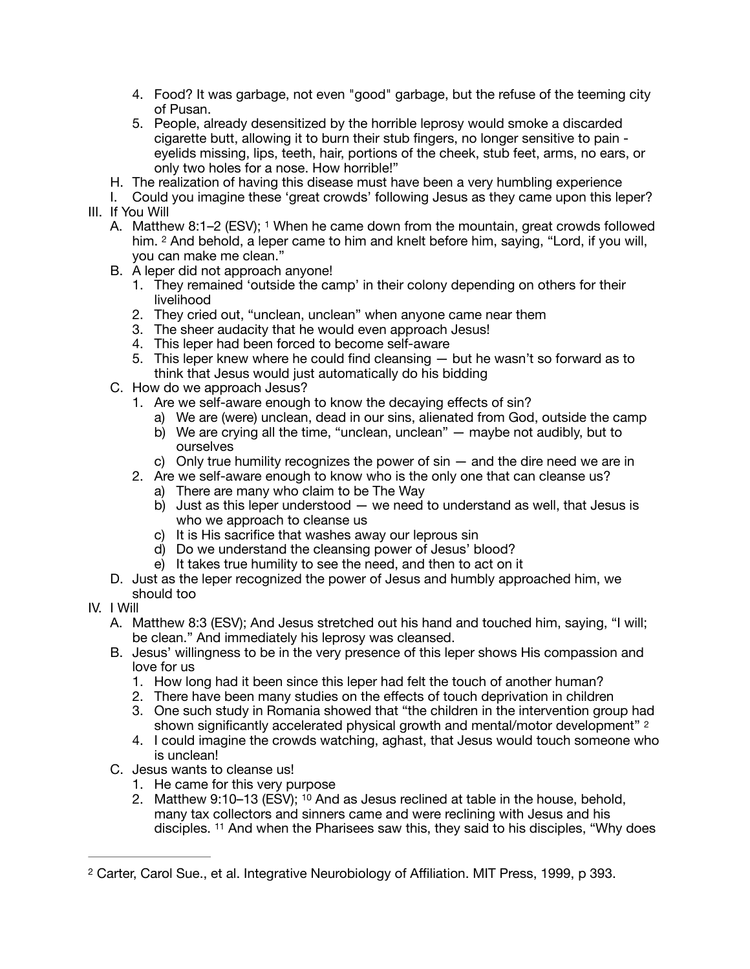- 4. Food? It was garbage, not even "good" garbage, but the refuse of the teeming city of Pusan.
- 5. People, already desensitized by the horrible leprosy would smoke a discarded cigarette butt, allowing it to burn their stub fingers, no longer sensitive to pain eyelids missing, lips, teeth, hair, portions of the cheek, stub feet, arms, no ears, or only two holes for a nose. How horrible!"
- H. The realization of having this disease must have been a very humbling experience
- I. Could you imagine these 'great crowds' following Jesus as they came upon this leper? III. If You Will
	- A. Matthew 8:1–2 (ESV); <sup>1</sup> When he came down from the mountain, great crowds followed him. 2 And behold, a leper came to him and knelt before him, saying, "Lord, if you will, you can make me clean."
	- B. A leper did not approach anyone!
		- 1. They remained 'outside the camp' in their colony depending on others for their livelihood
		- 2. They cried out, "unclean, unclean" when anyone came near them
		- 3. The sheer audacity that he would even approach Jesus!
		- 4. This leper had been forced to become self-aware
		- 5. This leper knew where he could find cleansing but he wasn't so forward as to think that Jesus would just automatically do his bidding
	- C. How do we approach Jesus?
		- 1. Are we self-aware enough to know the decaying effects of sin?
			- a) We are (were) unclean, dead in our sins, alienated from God, outside the camp
			- b) We are crying all the time, "unclean, unclean" maybe not audibly, but to ourselves
			- c) Only true humility recognizes the power of  $sin -$  and the dire need we are in
		- 2. Are we self-aware enough to know who is the only one that can cleanse us?
			- a) There are many who claim to be The Way
			- b) Just as this leper understood we need to understand as well, that Jesus is who we approach to cleanse us
			- c) It is His sacrifice that washes away our leprous sin
			- d) Do we understand the cleansing power of Jesus' blood?
			- e) It takes true humility to see the need, and then to act on it
	- D. Just as the leper recognized the power of Jesus and humbly approached him, we should too
- <span id="page-1-1"></span>IV. I Will
	- A. Matthew 8:3 (ESV); And Jesus stretched out his hand and touched him, saying, "I will; be clean." And immediately his leprosy was cleansed.
	- B. Jesus' willingness to be in the very presence of this leper shows His compassion and love for us
		- 1. How long had it been since this leper had felt the touch of another human?
		- 2. There have been many studies on the effects of touch deprivation in children
		- 3. One such study in Romania showed that "the children in the intervention group had shown significantly accelerated physical growth and mental/motor development" [2](#page-1-0)
		- 4. I could imagine the crowds watching, aghast, that Jesus would touch someone who is unclean!
	- C. Jesus wants to cleanse us!
		- 1. He came for this very purpose
		- 2. Matthew 9:10–13 (ESV); 10 And as Jesus reclined at table in the house, behold, many tax collectors and sinners came and were reclining with Jesus and his disciples. 11 And when the Pharisees saw this, they said to his disciples, "Why does

<span id="page-1-0"></span><sup>&</sup>lt;sup>[2](#page-1-1)</sup> Carter, Carol Sue., et al. Integrative Neurobiology of Affiliation. MIT Press, 1999, p 393.